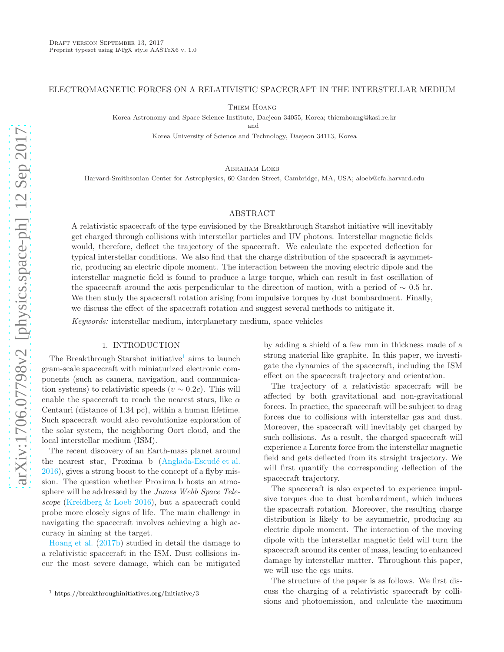# ELECTROMAGNETIC FORCES ON A RELATIVISTIC SPACECRAFT IN THE INTERSTELLAR MEDIUM

Thiem Hoang

Korea Astronomy and Space Science Institute, Daejeon 34055, Korea; thiemhoang@kasi.re.kr

and

Korea University of Science and Technology, Daejeon 34113, Korea

ABRAHAM LOEB

Harvard-Smithsonian Center for Astrophysics, 60 Garden Street, Cambridge, MA, USA; aloeb@cfa.harvard.edu

# ABSTRACT

A relativistic spacecraft of the type envisioned by the Breakthrough Starshot initiative will inevitably get charged through collisions with interstellar particles and UV photons. Interstellar magnetic fields would, therefore, deflect the trajectory of the spacecraft. We calculate the expected deflection for typical interstellar conditions. We also find that the charge distribution of the spacecraft is asymmetric, producing an electric dipole moment. The interaction between the moving electric dipole and the interstellar magnetic field is found to produce a large torque, which can result in fast oscillation of the spacecraft around the axis perpendicular to the direction of motion, with a period of  $\sim 0.5$  hr. We then study the spacecraft rotation arising from impulsive torques by dust bombardment. Finally, we discuss the effect of the spacecraft rotation and suggest several methods to mitigate it.

Keywords: interstellar medium, interplanetary medium, space vehicles

#### 1. INTRODUCTION

The Breakthrough Starshot initiative<sup>[1](#page-0-0)</sup> aims to launch gram-scale spacecraft with miniaturized electronic components (such as camera, navigation, and communication systems) to relativistic speeds  $(v \sim 0.2c)$ . This will enable the spacecraft to reach the nearest stars, like  $\alpha$ Centauri (distance of 1.34 pc), within a human lifetime. Such spacecraft would also revolutionize exploration of the solar system, the neighboring Oort cloud, and the local interstellar medium (ISM).

The recent discovery of an Earth-mass planet around the nearest star, Proxima b (Anglada-Escudé et al. [2016\)](#page-8-0), gives a strong boost to the concept of a flyby mission. The question whether Proxima b hosts an atmosphere will be addressed by the James Webb Space Telescope [\(Kreidberg & Loeb 2016\)](#page-8-1), but a spacecraft could probe more closely signs of life. The main challenge in navigating the spacecraft involves achieving a high accuracy in aiming at the target.

[Hoang et al.](#page-8-2) [\(2017b](#page-8-2)) studied in detail the damage to a relativistic spacecraft in the ISM. Dust collisions incur the most severe damage, which can be mitigated by adding a shield of a few mm in thickness made of a strong material like graphite. In this paper, we investigate the dynamics of the spacecraft, including the ISM effect on the spacecraft trajectory and orientation.

The trajectory of a relativistic spacecraft will be affected by both gravitational and non-gravitational forces. In practice, the spacecraft will be subject to drag forces due to collisions with interstellar gas and dust. Moreover, the spacecraft will inevitably get charged by such collisions. As a result, the charged spacecraft will experience a Lorentz force from the interstellar magnetic field and gets deflected from its straight trajectory. We will first quantify the corresponding deflection of the spacecraft trajectory.

The spacecraft is also expected to experience impulsive torques due to dust bombardment, which induces the spacecraft rotation. Moreover, the resulting charge distribution is likely to be asymmetric, producing an electric dipole moment. The interaction of the moving dipole with the interstellar magnetic field will turn the spacecraft around its center of mass, leading to enhanced damage by interstellar matter. Throughout this paper, we will use the cgs units.

The structure of the paper is as follows. We first discuss the charging of a relativistic spacecraft by collisions and photoemission, and calculate the maximum

<span id="page-0-0"></span><sup>1</sup> https://breakthroughinitiatives.org/Initiative/3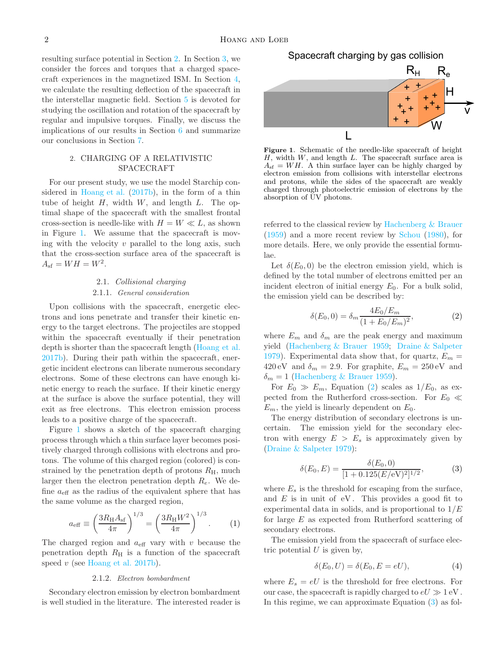resulting surface potential in Section [2.](#page-1-0) In Section [3,](#page-3-0) we consider the forces and torques that a charged spacecraft experiences in the magnetized ISM. In Section [4,](#page-4-0) we calculate the resulting deflection of the spacecraft in the interstellar magnetic field. Section [5](#page-6-0) is devoted for studying the oscillation and rotation of the spacecraft by regular and impulsive torques. Finally, we discuss the implications of our results in Section [6](#page-7-0) and summarize our conclusions in Section [7.](#page-8-3)

# <span id="page-1-0"></span>2. CHARGING OF A RELATIVISTIC SPACECRAFT

For our present study, we use the model Starchip considered in [Hoang et al.](#page-8-2) [\(2017b\)](#page-8-2), in the form of a thin tube of height  $H$ , width  $W$ , and length  $L$ . The optimal shape of the spacecraft with the smallest frontal cross-section is needle-like with  $H = W \ll L$ , as shown in Figure [1.](#page-1-1) We assume that the spacecraft is moving with the velocity  $v$  parallel to the long axis, such that the cross-section surface area of the spacecraft is  $A_{\rm sf} = WH = W^2$ .

## 2.1. Collisional charging

#### 2.1.1. General consideration

Upon collisions with the spacecraft, energetic electrons and ions penetrate and transfer their kinetic energy to the target electrons. The projectiles are stopped within the spacecraft eventually if their penetration depth is shorter than the spacecraft length [\(Hoang et al.](#page-8-2) [2017b](#page-8-2)). During their path within the spacecraft, energetic incident electrons can liberate numerous secondary electrons. Some of these electrons can have enough kinetic energy to reach the surface. If their kinetic energy at the surface is above the surface potential, they will exit as free electrons. This electron emission process leads to a positive charge of the spacecraft.

Figure [1](#page-1-1) shows a sketch of the spacecraft charging process through which a thin surface layer becomes positively charged through collisions with electrons and protons. The volume of this charged region (colored) is constrained by the penetration depth of protons  $R_{\rm H}$ , much larger then the electron penetration depth  $R_e$ . We define  $a_{\text{eff}}$  as the radius of the equivalent sphere that has the same volume as the charged region,

<span id="page-1-4"></span>
$$
a_{\text{eff}} \equiv \left(\frac{3R_{\text{H}}A_{\text{sf}}}{4\pi}\right)^{1/3} = \left(\frac{3R_{\text{H}}W^2}{4\pi}\right)^{1/3}.
$$
 (1)

The charged region and  $a_{\text{eff}}$  vary with v because the penetration depth  $R_H$  is a function of the spacecraft speed  $v$  (see [Hoang et al. 2017b\)](#page-8-2).

# 2.1.2. Electron bombardment

Secondary electron emission by electron bombardment is well studied in the literature. The interested reader is

 $R_{\rm H}$   $R_{\rm e}$ Spacecraft charging by gas collision



<span id="page-1-1"></span>Figure 1. Schematic of the needle-like spacecraft of height  $H$ , width  $W$ , and length  $L$ . The spacecraft surface area is  $A_{\rm sf} = WH$ . A thin surface layer can be highly charged by electron emission from collisions with interstellar electrons and protons, while the sides of the spacecraft are weakly charged through photoelectric emission of electrons by the absorption of UV photons.

referred to the classical review by [Hachenberg & Brauer](#page-8-4) [\(1959\)](#page-8-4) and a more recent review by [Schou](#page-8-5) [\(1980\)](#page-8-5), for more details. Here, we only provide the essential formulae.

Let  $\delta(E_0, 0)$  be the electron emission yield, which is defined by the total number of electrons emitted per an incident electron of initial energy  $E_0$ . For a bulk solid, the emission yield can be described by:

<span id="page-1-2"></span>
$$
\delta(E_0, 0) = \delta_m \frac{4E_0/E_m}{(1 + E_0/E_m)^2},
$$
\n(2)

where  $E_m$  and  $\delta_m$  are the peak energy and maximum yield [\(Hachenberg & Brauer 1959;](#page-8-4) [Draine & Salpeter](#page-8-6) [1979\)](#page-8-6). Experimental data show that, for quartz,  $E_m =$ 420 eV and  $\delta_m = 2.9$ . For graphite,  $E_m = 250 \text{ eV}$  and  $\delta_m = 1$  [\(Hachenberg & Brauer 1959\)](#page-8-4).

For  $E_0 \gg E_m$ , Equation [\(2\)](#page-1-2) scales as  $1/E_0$ , as expected from the Rutherford cross-section. For  $E_0 \ll$  $E_m$ , the yield is linearly dependent on  $E_0$ .

The energy distribution of secondary electrons is uncertain. The emission yield for the secondary electron with energy  $E > E_s$  is approximately given by [\(Draine & Salpeter 1979](#page-8-6)):

<span id="page-1-3"></span>
$$
\delta(E_0, E) = \frac{\delta(E_0, 0)}{[1 + 0.125(E/\text{eV})^2]^{1/2}},\tag{3}
$$

where  $E_s$  is the threshold for escaping from the surface, and  $E$  is in unit of eV. This provides a good fit to experimental data in solids, and is proportional to  $1/E$ for large  $E$  as expected from Rutherford scattering of secondary electrons.

The emission yield from the spacecraft of surface electric potential  $U$  is given by,

$$
\delta(E_0, U) = \delta(E_0, E = eU),\tag{4}
$$

where  $E_s = eU$  is the threshold for free electrons. For our case, the spacecraft is rapidly charged to  $eU \gg 1$  eV. In this regime, we can approximate Equation [\(3\)](#page-1-3) as fol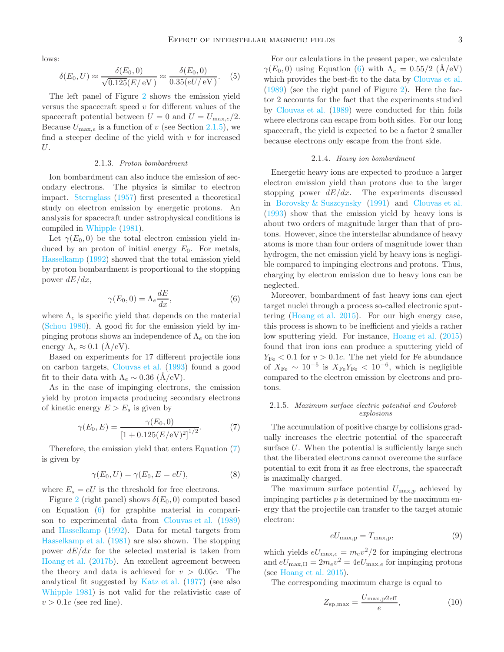lows:

<span id="page-2-3"></span>
$$
\delta(E_0, U) \approx \frac{\delta(E_0, 0)}{\sqrt{0.125(E/\text{eV})}} \approx \frac{\delta(E_0, 0)}{0.35(eU/\text{eV})}.
$$
 (5)

The left panel of Figure [2](#page-3-1) shows the emission yield versus the spacecraft speed  $v$  for different values of the spacecraft potential between  $U = 0$  and  $U = U_{\text{max},e}/2$ . Because  $U_{\text{max},e}$  is a function of v (see Section [2.1.5\)](#page-2-0), we find a steeper decline of the yield with  $v$  for increased U.

# 2.1.3. Proton bombardment

Ion bombardment can also induce the emission of secondary electrons. The physics is similar to electron impact. [Sternglass](#page-8-7) [\(1957](#page-8-7)) first presented a theoretical study on electron emission by energetic protons. An analysis for spacecraft under astrophysical conditions is compiled in [Whipple](#page-8-8) [\(1981\)](#page-8-8).

Let  $\gamma(E_0, 0)$  be the total electron emission yield induced by an proton of initial energy  $E_0$ . For metals, [Hasselkamp](#page-8-9) [\(1992\)](#page-8-9) showed that the total emission yield by proton bombardment is proportional to the stopping power  $dE/dx$ ,

<span id="page-2-2"></span>
$$
\gamma(E_0, 0) = \Lambda_e \frac{dE}{dx},\tag{6}
$$

where  $\Lambda_e$  is specific yield that depends on the material [\(Schou 1980](#page-8-5)). A good fit for the emission yield by impinging protons shows an independence of  $\Lambda_e$  on the ion energy  $\Lambda_e \approx 0.1$  (A/eV).

Based on experiments for 17 different projectile ions on carbon targets, [Clouvas et al.](#page-8-10) [\(1993\)](#page-8-10) found a good fit to their data with  $\Lambda_e \sim 0.36$  (Å/eV).

As in the case of impinging electrons, the emission yield by proton impacts producing secondary electrons of kinetic energy  $E > E_s$  is given by

<span id="page-2-1"></span>
$$
\gamma(E_0, E) = \frac{\gamma(E_0, 0)}{[1 + 0.125(E/\text{eV})^2]^{1/2}}.\tag{7}
$$

Therefore, the emission yield that enters Equation [\(7\)](#page-2-1) is given by

$$
\gamma(E_0, U) = \gamma(E_0, E = eU),\tag{8}
$$

where  $E_s = eU$  is the threshold for free electrons.

Figure [2](#page-3-1) (right panel) shows  $\delta(E_0, 0)$  computed based on Equation [\(6\)](#page-2-2) for graphite material in comparison to experimental data from [Clouvas et al.](#page-8-11) [\(1989](#page-8-11)) and [Hasselkamp](#page-8-9) [\(1992\)](#page-8-9). Data for metal targets from [Hasselkamp et al.](#page-8-12) [\(1981\)](#page-8-12) are also shown. The stopping power  $dE/dx$  for the selected material is taken from [Hoang et al.](#page-8-2) [\(2017b\)](#page-8-2). An excellent agreement between the theory and data is achieved for  $v > 0.05c$ . The analytical fit suggested by [Katz et al.](#page-8-13) [\(1977\)](#page-8-13) (see also [Whipple 1981](#page-8-8)) is not valid for the relativistic case of  $v > 0.1c$  (see red line).

For our calculations in the present paper, we calculate  $\gamma(E_0, 0)$  using Equation [\(6\)](#page-2-2) with  $\Lambda_e = 0.55/2$  (Å/eV) which provides the best-fit to the data by [Clouvas et al.](#page-8-11) [\(1989\)](#page-8-11) (see the right panel of Figure [2\)](#page-3-1). Here the factor 2 accounts for the fact that the experiments studied by [Clouvas et al.](#page-8-11) [\(1989\)](#page-8-11) were conducted for thin foils where electrons can escape from both sides. For our long spacecraft, the yield is expected to be a factor 2 smaller because electrons only escape from the front side.

#### 2.1.4. Heavy ion bombardment

Energetic heavy ions are expected to produce a larger electron emission yield than protons due to the larger stopping power  $dE/dx$ . The experiments discussed in [Borovsky & Suszcynsky](#page-8-14) [\(1991\)](#page-8-14) and [Clouvas et al.](#page-8-10) [\(1993\)](#page-8-10) show that the emission yield by heavy ions is about two orders of magnitude larger than that of protons. However, since the interstellar abundance of heavy atoms is more than four orders of magnitude lower than hydrogen, the net emission yield by heavy ions is negligible compared to impinging electrons and protons. Thus, charging by electron emission due to heavy ions can be neglected.

Moreover, bombardment of fast heavy ions can eject target nuclei through a process so-called electronic sputtering [\(Hoang et al. 2015\)](#page-8-15). For our high energy case, this process is shown to be inefficient and yields a rather low sputtering yield. For instance, [Hoang et al.](#page-8-15) [\(2015](#page-8-15)) found that iron ions can produce a sputtering yield of  $Y_{\text{Fe}}$  < 0.1 for  $v > 0.1c$ . The net yield for Fe abundance of  $X_{\text{Fe}} \sim 10^{-5}$  is  $X_{\text{Fe}}Y_{\text{Fe}} < 10^{-6}$ , which is negligible compared to the electron emission by electrons and protons.

# <span id="page-2-0"></span>2.1.5. Maximum surface electric potential and Coulomb explosions

The accumulation of positive charge by collisions gradually increases the electric potential of the spacecraft surface  $U$ . When the potential is sufficiently large such that the liberated electrons cannot overcome the surface potential to exit from it as free electrons, the spacecraft is maximally charged.

The maximum surface potential  $U_{\text{max},p}$  achieved by impinging particles  $p$  is determined by the maximum energy that the projectile can transfer to the target atomic electron:

<span id="page-2-4"></span>
$$
eU_{\text{max,p}} = T_{\text{max,p}},\tag{9}
$$

which yields  $eU_{\text{max},e} = m_e v^2/2$  for impinging electrons and  $eU_{\text{max,H}} = 2m_e v^2 = 4eU_{\text{max,e}}$  for impinging protons (see [Hoang et al. 2015](#page-8-15)).

The corresponding maximum charge is equal to

$$
Z_{\rm sp,max} = \frac{U_{\rm max,p} a_{\rm eff}}{e},\tag{10}
$$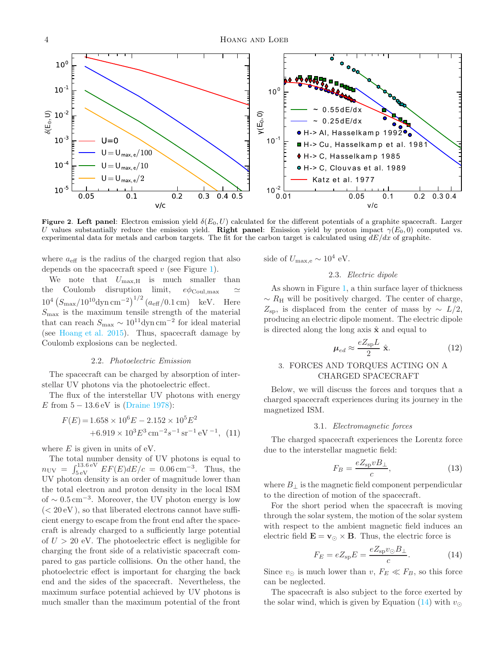

<span id="page-3-1"></span>Figure 2. Left panel: Electron emission yield  $\delta(E_0, U)$  calculated for the different potentials of a graphite spacecraft. Larger U values substantially reduce the emission yield. Right panel: Emission yield by proton impact  $\gamma(E_0, 0)$  computed vs. experimental data for metals and carbon targets. The fit for the carbon target is calculated using  $dE/dx$  of graphite.

where  $a_{\text{eff}}$  is the radius of the charged region that also depends on the spacecraft speed  $v$  (see Figure [1\)](#page-1-1).

We note that  $U_{\text{max,H}}$  is much smaller than the Coulomb disruption limit,  $e\phi_{\text{Coul,max}}$  $10^4 (S_{\text{max}}/10^{10} \text{dyn cm}^{-2})^{1/2} (a_{\text{eff}}/0.1 \text{ cm})$  keV. Here  $S_{\text{max}}$  is the maximum tensile strength of the material that can reach  $S_{\text{max}} \sim 10^{11} \text{dyn cm}^{-2}$  for ideal material (see [Hoang et al. 2015](#page-8-15)). Thus, spacecraft damage by Coulomb explosions can be neglected.

### 2.2. Photoelectric Emission

The spacecraft can be charged by absorption of interstellar UV photons via the photoelectric effect.

The flux of the interstellar UV photons with energy E from  $5 - 13.6$  eV is [\(Draine 1978\)](#page-8-16):

$$
F(E) = 1.658 \times 10^{6} E - 2.152 \times 10^{5} E^{2}
$$
  
+6.919 \times 10^{3} E^{3} cm<sup>-2</sup> s<sup>-1</sup> sr<sup>-1</sup> eV<sup>-1</sup>, (11)

where  $E$  is given in units of eV.

The total number density of UV photons is equal to  $n_{\text{UV}} = \int_{5 \text{ eV}}^{13.6 \text{ eV}} E F(E) dE/c = 0.06 \text{ cm}^{-3}$ . Thus, the UV photon density is an order of magnitude lower than the total electron and proton density in the local ISM of ∼ 0.5 cm<sup>-3</sup>. Moreover, the UV photon energy is low  $(< 20 \text{ eV})$ , so that liberated electrons cannot have sufficient energy to escape from the front end after the spacecraft is already charged to a sufficiently large potential of  $U > 20$  eV. The photoelectric effect is negligible for charging the front side of a relativistic spacecraft compared to gas particle collisions. On the other hand, the photoelectric effect is important for charging the back end and the sides of the spacecraft. Nevertheless, the maximum surface potential achieved by UV photons is much smaller than the maximum potential of the front

side of  $U_{\text{max,e}} \sim 10^4 \text{ eV}.$ 

# 2.3. Electric dipole

As shown in Figure [1,](#page-1-1) a thin surface layer of thickness  $\sim R_{\rm H}$  will be positively charged. The center of charge,  $Z_{\rm sp}$ , is displaced from the center of mass by  $\sim L/2$ , producing an electric dipole moment. The electric dipole is directed along the long axis  $\hat{x}$  and equal to

$$
\mu_{ed} \approx \frac{eZ_{\rm sp}L}{2} \hat{\mathbf{x}}.\tag{12}
$$

# <span id="page-3-0"></span>3. FORCES AND TORQUES ACTING ON A CHARGED SPACECRAFT

Below, we will discuss the forces and torques that a charged spacecraft experiences during its journey in the magnetized ISM.

#### 3.1. Electromagnetic forces

The charged spacecraft experiences the Lorentz force due to the interstellar magnetic field:

$$
F_B = \frac{eZ_{\rm sp}vB_\perp}{c},\tag{13}
$$

where  $B_{\perp}$  is the magnetic field component perpendicular to the direction of motion of the spacecraft.

For the short period when the spacecraft is moving through the solar system, the motion of the solar system with respect to the ambient magnetic field induces an electric field  $\mathbf{E} = \mathbf{v}_{\odot} \times \mathbf{B}$ . Thus, the electric force is

<span id="page-3-2"></span>
$$
F_E = eZ_{\rm sp}E = \frac{eZ_{\rm sp}v_{\odot}B_{\perp}}{c}.
$$
 (14)

Since  $v_{\odot}$  is much lower than  $v, F_E \ll F_B$ , so this force can be neglected.

The spacecraft is also subject to the force exerted by the solar wind, which is given by Equation [\(14\)](#page-3-2) with  $v_{\odot}$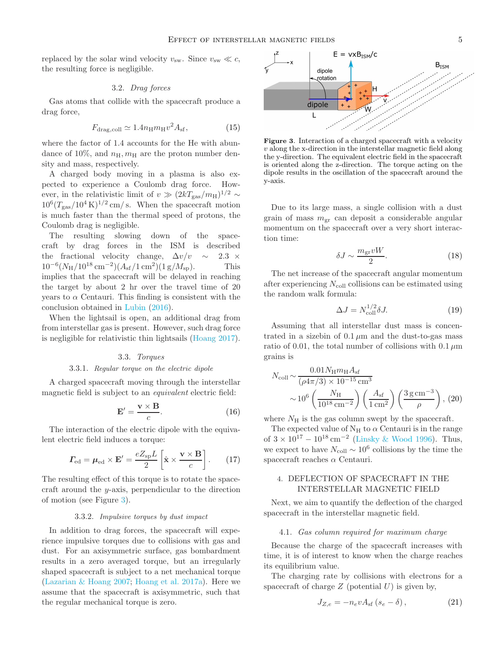replaced by the solar wind velocity  $v_{sw}$ . Since  $v_{sw} \ll c$ , the resulting force is negligible.

# 3.2. Drag forces

Gas atoms that collide with the spacecraft produce a drag force,

$$
F_{\text{drag,coll}} \simeq 1.4n_{\text{H}}m_{\text{H}}v^2A_{\text{sf}},\tag{15}
$$

where the factor of 1.4 accounts for the He with abundance of 10%, and  $n_{\rm H}$ ,  $m_{\rm H}$  are the proton number density and mass, respectively.

A charged body moving in a plasma is also expected to experience a Coulomb drag force. However, in the relativistic limit of  $v \gg (2kT_{\rm gas}/m_{\rm H})^{1/2} \sim$  $10^6 (T_{\rm gas}/10^4 \,\rm K)^{1/2}$  cm/s. When the spacecraft motion is much faster than the thermal speed of protons, the Coulomb drag is negligible.

The resulting slowing down of the spacecraft by drag forces in the ISM is described the fractional velocity change,  $\Delta v/v \sim 2.3 \times 10^{-6} (N_H/10^{18} \text{ cm}^{-2}) (A_{\text{sf}}/1 \text{ cm}^2) (1 \text{ g}/M_{\text{sp}})$ . This  $10^{-6} (N_{\rm H}/10^{18} \rm \, cm^{-2}) (A_{\rm sf}/1 \rm \, cm^2) (1 \rm \, g/M_{\rm sp}).$  This implies that the spacecraft will be delayed in reaching the target by about 2 hr over the travel time of 20 years to  $\alpha$  Centauri. This finding is consistent with the conclusion obtained in [Lubin](#page-8-17) [\(2016](#page-8-17)).

When the lightsail is open, an additional drag from from interstellar gas is present. However, such drag force is negligible for relativistic thin lightsails [\(Hoang 2017\)](#page-8-18).

## 3.3. Torques

#### 3.3.1. Regular torque on the electric dipole

A charged spacecraft moving through the interstellar magnetic field is subject to an equivalent electric field:

$$
\mathbf{E}' = \frac{\mathbf{v} \times \mathbf{B}}{c}.\tag{16}
$$

The interaction of the electric dipole with the equivalent electric field induces a torque:

<span id="page-4-2"></span>
$$
\boldsymbol{\varGamma}_{\text{ed}} = \boldsymbol{\mu}_{\text{ed}} \times \mathbf{E}' = \frac{e Z_{\text{sp}} L}{2} \left[ \hat{\mathbf{x}} \times \frac{\mathbf{v} \times \mathbf{B}}{c} \right]. \tag{17}
$$

The resulting effect of this torque is to rotate the spacecraft around the y-axis, perpendicular to the direction of motion (see Figure [3\)](#page-4-1).

# 3.3.2. Impulsive torques by dust impact

In addition to drag forces, the spacecraft will experience impulsive torques due to collisions with gas and dust. For an axisymmetric surface, gas bombardment results in a zero averaged torque, but an irregularly shaped spacecraft is subject to a net mechanical torque [\(Lazarian & Hoang 2007](#page-8-19); [Hoang et al. 2017a\)](#page-8-20). Here we assume that the spacecraft is axisymmetric, such that the regular mechanical torque is zero.



<span id="page-4-1"></span>Figure 3. Interaction of a charged spacecraft with a velocity  $v$  along the x-direction in the interstellar magnetic field along the y-direction. The equivalent electric field in the spacecraft is oriented along the z-direction. The torque acting on the dipole results in the oscillation of the spacecraft around the y-axis.

Due to its large mass, a single collision with a dust grain of mass  $m_{\text{gr}}$  can deposit a considerable angular momentum on the spacecraft over a very short interaction time:

<span id="page-4-3"></span>
$$
\delta J \sim \frac{m_{\rm gr} v W}{2}.\tag{18}
$$

The net increase of the spacecraft angular momentum after experiencing  $N_{\text{coll}}$  collisions can be estimated using the random walk formula:

<span id="page-4-5"></span>
$$
\Delta J = N_{\text{coll}}^{1/2} \delta J. \tag{19}
$$

Assuming that all interstellar dust mass is concentrated in a sizebin of  $0.1 \mu m$  and the dust-to-gas mass ratio of 0.01, the total number of collisions with  $0.1 \mu m$ grains is

<span id="page-4-4"></span>
$$
N_{\text{coll}} \sim \frac{0.01 N_{\text{H}} m_{\text{H}} A_{\text{sf}}}{(\rho 4 \pi / 3) \times 10^{-15} \text{ cm}^3} \sim 10^6 \left( \frac{N_{\text{H}}}{10^{18} \text{ cm}^{-2}} \right) \left( \frac{A_{\text{sf}}}{1 \text{ cm}^2} \right) \left( \frac{3 \text{ g cm}^{-3}}{\rho} \right), (20)
$$

where  $N_{\rm H}$  is the gas column swept by the spacecraft.

The expected value of  $N_H$  to  $\alpha$  Centauri is in the range of  $3 \times 10^{17} - 10^{18} \,\text{cm}^{-2}$  [\(Linsky & Wood 1996\)](#page-8-21). Thus, we expect to have  $N_{\text{coll}} \sim 10^6$  collisions by the time the spacecraft reaches  $\alpha$  Centauri.

# <span id="page-4-0"></span>4. DEFLECTION OF SPACECRAFT IN THE INTERSTELLAR MAGNETIC FIELD

Next, we aim to quantify the deflection of the charged spacecraft in the interstellar magnetic field.

#### 4.1. Gas column required for maximum charge

Because the charge of the spacecraft increases with time, it is of interest to know when the charge reaches its equilibrium value.

The charging rate by collisions with electrons for a spacecraft of charge  $Z$  (potential  $U$ ) is given by,

$$
J_{Z,e} = -n_e v A_{\rm sf} \left( s_e - \delta \right), \tag{21}
$$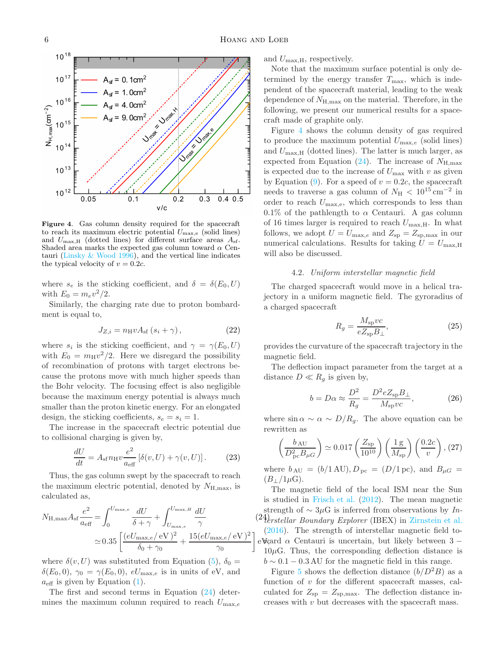

 $A_{sf}$  = 0.1cm<sup>2</sup>  $_{\text{ref}}$  = 1.0cm<sup>2</sup>

<span id="page-5-1"></span>Figure 4. Gas column density required for the spacecraft to reach its maximum electric potential  $U_{\text{max,e}}$  (solid lines) and  $U_{\text{max,H}}$  (dotted lines) for different surface areas  $A_{\text{sf}}$ . Shaded area marks the expected gas column toward  $\alpha$  Centauri [\(Linsky & Wood 1996](#page-8-21)), and the vertical line indicates the typical velocity of  $v = 0.2c$ .

where  $s_e$  is the sticking coefficient, and  $\delta = \delta(E_0, U)$ with  $E_0 = m_e v^2/2$ .

Similarly, the charging rate due to proton bombardment is equal to,

$$
J_{Z,i} = n_{\rm H} v A_{\rm sf} \left( s_i + \gamma \right), \tag{22}
$$

where  $s_i$  is the sticking coefficient, and  $\gamma = \gamma(E_0, U)$ with  $E_0 = m_H v^2/2$ . Here we disregard the possibility of recombination of protons with target electrons because the protons move with much higher speeds than the Bohr velocity. The focusing effect is also negligible because the maximum energy potential is always much smaller than the proton kinetic energy. For an elongated design, the sticking coefficients,  $s_e = s_i = 1$ .

The increase in the spacecraft electric potential due to collisional charging is given by,

$$
\frac{dU}{dt} = A_{\rm sf} n_{\rm H} v \frac{e^2}{a_{\rm eff}} \left[ \delta(v, U) + \gamma(v, U) \right]. \tag{23}
$$

Thus, the gas column swept by the spacecraft to reach the maximum electric potential, denoted by  $N_{\text{H,max}}$ , is calculated as,

<span id="page-5-0"></span>
$$
N_{\rm H,max} A_{\rm sf} \frac{e^2}{a_{\rm eff}} = \int_0^{U_{\rm max,e}} \frac{dU}{\delta + \gamma} + \int_{U_{\rm max,e}}^{U_{\rm max,H}} \frac{dU}{\gamma}
$$

$$
\simeq 0.35 \left[ \frac{(eU_{\rm max,e}/\,\text{eV})^2}{\delta_0 + \gamma_0} + \frac{15(eU_{\rm max,e}/\,\text{eV})^2}{\gamma_0} \right]
$$

where  $\delta(v, U)$  was substituted from Equation [\(5\)](#page-2-3),  $\delta_0 =$  $\delta(E_0, 0)$ ,  $\gamma_0 = \gamma(E_0, 0)$ ,  $eU_{\text{max},e}$  is in units of eV, and  $a_{\text{eff}}$  is given by Equation [\(1\)](#page-1-4).

The first and second terms in Equation [\(24\)](#page-5-0) determines the maximum column required to reach  $U_{\text{max},e}$  and  $U_{\text{max,H}}$ , respectively.

Note that the maximum surface potential is only determined by the energy transfer  $T_{\text{max}}$ , which is independent of the spacecraft material, leading to the weak dependence of  $N_{\text{H,max}}$  on the material. Therefore, in the following, we present our numerical results for a spacecraft made of graphite only.

Figure [4](#page-5-1) shows the column density of gas required to produce the maximum potential  $U_{\text{max},e}$  (solid lines) and  $U_{\text{max,H}}$  (dotted lines). The latter is much larger, as expected from Equation [\(24\)](#page-5-0). The increase of  $N_{\text{H,max}}$ is expected due to the increase of  $U_{\text{max}}$  with v as given by Equation [\(9\)](#page-2-4). For a speed of  $v = 0.2c$ , the spacecraft needs to traverse a gas column of  $N_{\rm H}$  < 10<sup>15</sup> cm<sup>-2</sup> in order to reach  $U_{\text{max,e}}$ , which corresponds to less than 0.1% of the pathlength to  $\alpha$  Centauri. A gas column of 16 times larger is required to reach  $U_{\text{max,H}}$ . In what follows, we adopt  $U = U_{\text{max},e}$  and  $Z_{\text{sp}} = Z_{\text{sp,max}}$  in our numerical calculations. Results for taking  $U = U_{\text{max,H}}$ will also be discussed.

# 4.2. Uniform interstellar magnetic field

The charged spacecraft would move in a helical trajectory in a uniform magnetic field. The gyroradius of a charged spacecraft

$$
R_g = \frac{M_{\rm sp}vc}{eZ_{\rm sp}B_{\perp}},\tag{25}
$$

provides the curvature of the spacecraft trajectory in the magnetic field.

The deflection impact parameter from the target at a distance  $D \ll R_g$  is given by,

$$
b = D\alpha \approx \frac{D^2}{R_g} = \frac{D^2 e Z_{\rm sp} B_{\perp}}{M_{\rm sp} v c},\tag{26}
$$

where  $\sin \alpha \sim \alpha \sim D/R_q$ . The above equation can be rewritten as

$$
\left(\frac{b_{\rm AU}}{D_{\rm pc}^2 B_{\mu G}}\right) \simeq 0.017 \left(\frac{Z_{\rm sp}}{10^{10}}\right) \left(\frac{1 \,\mathrm{g}}{M_{\rm sp}}\right) \left(\frac{0.2c}{v}\right), (27)
$$

where  $b_{\text{AU}} = (b/1 \text{ AU}), D_{\text{pc}} = (D/1 \text{ pc}), \text{ and } B_{\mu} =$  $(B_{\perp}/1\mu\text{G}).$ 

 $(24)$ erstellar Boundary Explorer (IBEX) in [Zirnstein et al.](#page-8-23) eV, ward α Centauri is uncertain, but likely between 3 − The magnetic field of the local ISM near the Sun is studied in [Frisch et al.](#page-8-22) [\(2012\)](#page-8-22). The mean magnetic strength of  $\sim 3\mu$ G is inferred from observations by *In*-[\(2016\)](#page-8-23). The strength of interstellar magnetic field to- $10\mu$ G. Thus, the corresponding deflection distance is  $b \sim 0.1 - 0.3$  AU for the magnetic field in this range.

Figure [5](#page-6-1) shows the deflection distance  $(b/D^2B)$  as a function of  $v$  for the different spacecraft masses, calculated for  $Z_{\rm sp} = Z_{\rm sp,max}$ . The deflection distance increases with  $v$  but decreases with the spacecraft mass.

 $10^{18}$ 

 $10^{17}$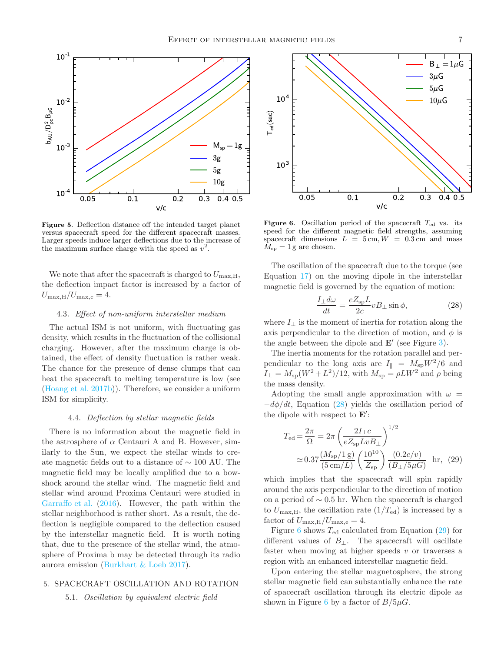

<span id="page-6-1"></span>Figure 5. Deflection distance off the intended target planet versus spacecraft speed for the different spacecraft masses. Larger speeds induce larger deflections due to the increase of the maximum surface charge with the speed as  $v^2$ .

We note that after the spacecraft is charged to  $U_{\text{max,H}}$ , the deflection impact factor is increased by a factor of  $U_{\text{max,H}}/U_{\text{max,e}} = 4.$ 

# 4.3. Effect of non-uniform interstellar medium

The actual ISM is not uniform, with fluctuating gas density, which results in the fluctuation of the collisional charging. However, after the maximum charge is obtained, the effect of density fluctuation is rather weak. The chance for the presence of dense clumps that can heat the spacecraft to melting temperature is low (see [\(Hoang et al. 2017b](#page-8-2))). Therefore, we consider a uniform ISM for simplicity.

#### 4.4. Deflection by stellar magnetic fields

There is no information about the magnetic field in the astrosphere of  $\alpha$  Centauri A and B. However, similarly to the Sun, we expect the stellar winds to create magnetic fields out to a distance of ∼ 100 AU. The magnetic field may be locally amplified due to a bowshock around the stellar wind. The magnetic field and stellar wind around Proxima Centauri were studied in [Garraffo et al.](#page-8-24) [\(2016](#page-8-24)). However, the path within the stellar neighborhood is rather short. As a result, the deflection is negligible compared to the deflection caused by the interstellar magnetic field. It is worth noting that, due to the presence of the stellar wind, the atmosphere of Proxima b may be detected through its radio aurora emission [\(Burkhart & Loeb 2017\)](#page-8-25).

# <span id="page-6-0"></span>5. SPACECRAFT OSCILLATION AND ROTATION

5.1. Oscillation by equivalent electric field



<span id="page-6-3"></span>**Figure 6.** Oscillation period of the spacecraft  $T_{\text{ed}}$  vs. its speed for the different magnetic field strengths, assuming spacecraft dimensions  $L = 5$  cm,  $W = 0.3$  cm and mass  $M_{\rm sp} = 1$  g are chosen.

The oscillation of the spacecraft due to the torque (see Equation [17\)](#page-4-2) on the moving dipole in the interstellar magnetic field is governed by the equation of motion:

<span id="page-6-2"></span>
$$
\frac{I_{\perp}d\omega}{dt} = \frac{eZ_{\rm sp}L}{2c}vB_{\perp}\sin\phi,\tag{28}
$$

where  $I_{\perp}$  is the moment of inertia for rotation along the axis perpendicular to the direction of motion, and  $\phi$  is the angle between the dipole and  $\mathbf{E}'$  (see Figure [3\)](#page-4-1).

The inertia moments for the rotation parallel and perpendicular to the long axis are  $I_{\parallel} = M_{\rm sp}W^2/6$  and  $I_{\perp} = M_{\rm sp}(W^2 + L^2)/12$ , with  $M_{\rm sp} = \rho L W^2$  and  $\rho$  being the mass density.

Adopting the small angle approximation with  $\omega =$  $-d\phi/dt$ , Equation [\(28\)](#page-6-2) yields the oscillation period of the dipole with respect to  $\mathbf{E}'$ :

<span id="page-6-4"></span>
$$
T_{\rm ed} = \frac{2\pi}{\Omega} = 2\pi \left(\frac{2I_{\perp}c}{eZ_{\rm sp}LvB_{\perp}}\right)^{1/2}
$$

$$
\simeq 0.37 \frac{(M_{\rm sp}/1 \, \rm g)}{(5 \, \rm cm/L)} \left(\frac{10^{10}}{Z_{\rm sp}}\right) \frac{(0.2c/v)}{(B_{\perp}/5\mu G)} \quad \text{hr}, \tag{29}
$$

which implies that the spacecraft will spin rapidly around the axis perpendicular to the direction of motion on a period of  $\sim 0.5$  hr. When the spacecraft is charged to  $U_{\text{max,H}}$ , the oscillation rate  $(1/T_{\text{ed}})$  is increased by a factor of  $U_{\text{max,H}}/U_{\text{max,e}} = 4$ .

Figure [6](#page-6-3) shows  $T_{\text{ed}}$  calculated from Equation [\(29\)](#page-6-4) for different values of  $B_{\perp}$ . The spacecraft will oscillate faster when moving at higher speeds  $v$  or traverses a region with an enhanced interstellar magnetic field.

Upon entering the stellar magnetosphere, the strong stellar magnetic field can substantially enhance the rate of spacecraft oscillation through its electric dipole as shown in Figure [6](#page-6-3) by a factor of  $B/5\mu G$ .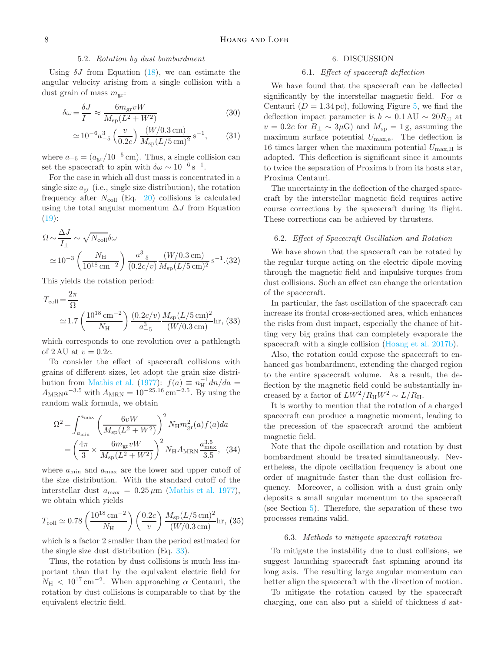# 5.2. Rotation by dust bombardment

Using  $\delta J$  from Equation [\(18\)](#page-4-3), we can estimate the angular velocity arising from a single collision with a dust grain of mass  $m_{\rm gr}$ :

$$
\delta\omega = \frac{\delta J}{I_{\perp}} \approx \frac{6m_{\rm gr}vW}{M_{\rm sp}(L^2 + W^2)}\tag{30}
$$

$$
\simeq 10^{-6} a_{-5}^3 \left(\frac{v}{0.2c}\right) \frac{(W/0.3 \text{ cm})}{M_{\text{sp}} (L/5 \text{ cm})^2} \text{ s}^{-1},\tag{31}
$$

where  $a_{-5} = (a_{gr}/10^{-5} \text{ cm})$ . Thus, a single collision can set the spacecraft to spin with  $\delta \omega \sim 10^{-6} \text{ s}^{-1}$ .

For the case in which all dust mass is concentrated in a single size  $a_{\rm gr}$  (i.e., single size distribution), the rotation frequency after  $N_{\text{coll}}$  (Eq. [20\)](#page-4-4) collisions is calculated using the total angular momentum  $\Delta J$  from Equation  $(19)$ :

$$
\Omega \sim \frac{\Delta J}{I_{\perp}} \sim \sqrt{N_{\text{coll}}} \delta \omega
$$
  

$$
\approx 10^{-3} \left( \frac{N_{\text{H}}}{10^{18} \text{ cm}^{-2}} \right) \frac{a_{-5}^{3}}{(0.2c/v)} \frac{(W/0.3 \text{ cm})}{M_{\text{sp}}(L/5 \text{ cm})^{2}} \text{ s}^{-1}. (32)
$$

This yields the rotation period:

<span id="page-7-1"></span>
$$
T_{\text{coll}} = \frac{2\pi}{\Omega}
$$
  
 
$$
\approx 1.7 \left( \frac{10^{18} \text{ cm}^{-2}}{N_{\text{H}}} \right) \frac{(0.2c/v)}{a_{-5}^3} \frac{M_{\text{sp}}(L/5 \text{ cm})^2}{(W/0.3 \text{ cm})} \text{hr}, (33)
$$

which corresponds to one revolution over a pathlength of 2 AU at  $v = 0.2c$ .

To consider the effect of spacecraft collisions with grains of different sizes, let adopt the grain size distri-bution from [Mathis et al.](#page-8-26) [\(1977\)](#page-8-26):  $f(a) \equiv n_H^{-1} dn/da =$  $A_{\text{MRN}}a^{-3.5}$  with  $A_{\text{MRN}} = 10^{-25.16} \text{ cm}^{-2.5}$ . By using the random walk formula, we obtain

$$
\Omega^{2} = \int_{a_{\min}}^{a_{\max}} \left( \frac{6vW}{M_{\rm sp}(L^{2} + W^{2})} \right)^{2} N_{\rm H} m_{\rm gr}^{2}(a) f(a) da
$$

$$
= \left( \frac{4\pi}{3} \times \frac{6m_{\rm gr} vW}{M_{\rm sp}(L^{2} + W^{2})} \right)^{2} N_{\rm H} A_{\rm MRN} \frac{a_{\max}^{3.5}}{3.5}, \quad (34)
$$

where  $a_{\min}$  and  $a_{\max}$  are the lower and upper cutoff of the size distribution. With the standard cutoff of the interstellar dust  $a_{\text{max}} = 0.25 \,\mu\text{m}$  [\(Mathis et al. 1977\)](#page-8-26), we obtain which yields

$$
T_{\text{coll}} \simeq 0.78 \left(\frac{10^{18} \text{ cm}^{-2}}{N_{\text{H}}}\right) \left(\frac{0.2c}{v}\right) \frac{M_{\text{sp}}(L/5 \text{ cm})^2}{(W/0.3 \text{ cm})} \text{hr}, (35)
$$

which is a factor 2 smaller than the period estimated for the single size dust distribution (Eq. [33\)](#page-7-1).

Thus, the rotation by dust collisions is much less important than that by the equivalent electric field for  $N_{\rm H}$  < 10<sup>17</sup> cm<sup>-2</sup>. When approaching  $\alpha$  Centauri, the rotation by dust collisions is comparable to that by the equivalent electric field.

#### 6. DISCUSSION

# 6.1. Effect of spacecraft deflection

<span id="page-7-0"></span>We have found that the spacecraft can be deflected significantly by the interstellar magnetic field. For  $\alpha$ Centauri ( $D = 1.34 \,\text{pc}$ ), following Figure [5,](#page-6-1) we find the deflection impact parameter is  $b \sim 0.1 \text{ AU} \sim 20 R_{\odot}$  at  $v = 0.2c$  for  $B_{\perp} \sim 3 \mu$ G) and  $M_{\rm sp} = 1$  g, assuming the maximum surface potential  $U_{\text{max,e}}$ . The deflection is 16 times larger when the maximum potential  $U_{\text{max,H}}$  is adopted. This deflection is significant since it amounts to twice the separation of Proxima b from its hosts star, Proxima Centauri.

The uncertainty in the deflection of the charged spacecraft by the interstellar magnetic field requires active course corrections by the spacecraft during its flight. These corrections can be achieved by thrusters.

### 6.2. Effect of Spacecraft Oscillation and Rotation

We have shown that the spacecraft can be rotated by the regular torque acting on the electric dipole moving through the magnetic field and impulsive torques from dust collisions. Such an effect can change the orientation of the spacecraft.

In particular, the fast oscillation of the spacecraft can increase its frontal cross-sectioned area, which enhances the risks from dust impact, especially the chance of hitting very big grains that can completely evaporate the spacecraft with a single collision [\(Hoang et al. 2017b\)](#page-8-2).

Also, the rotation could expose the spacecraft to enhanced gas bombardment, extending the charged region to the entire spacecraft volume. As a result, the deflection by the magnetic field could be substantially increased by a factor of  $LW^2/R_HW^2 \sim L/R_H$ .

It is worthy to mention that the rotation of a charged spacecraft can produce a magnetic moment, leading to the precession of the spacecraft around the ambient magnetic field.

Note that the dipole oscillation and rotation by dust bombardment should be treated simultaneously. Nevertheless, the dipole oscillation frequency is about one order of magnitude faster than the dust collision frequency. Moreover, a collision with a dust grain only deposits a small angular momentum to the spacecraft (see Section [5\)](#page-6-0). Therefore, the separation of these two processes remains valid.

# 6.3. Methods to mitigate spacecraft rotation

To mitigate the instability due to dust collisions, we suggest launching spacecraft fast spinning around its long axis. The resulting large angular momentum can better align the spacecraft with the direction of motion.

To mitigate the rotation caused by the spacecraft charging, one can also put a shield of thickness  $d$  sat